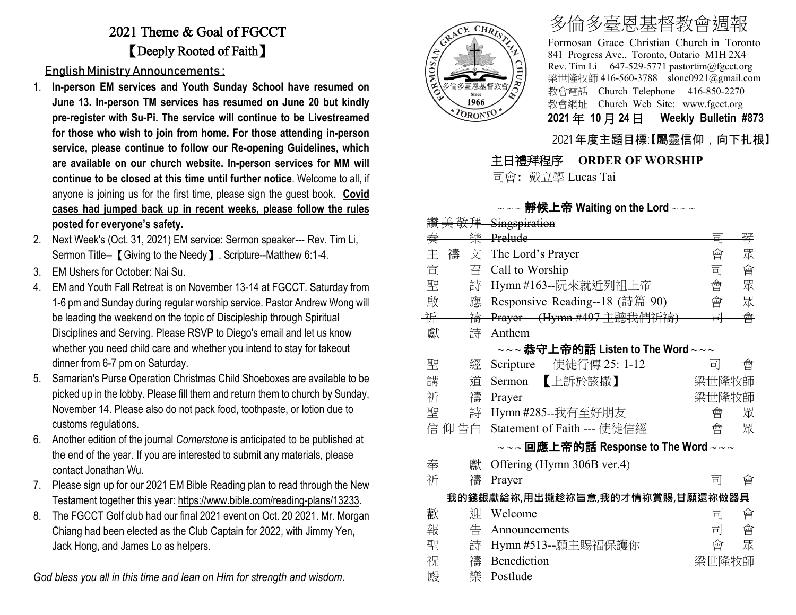## 2021 Theme & Goal of FGCCT 【Deeply Rooted of Faith】

English Ministry Announcements :

- 1. **In-person EM services and Youth Sunday School have resumed on June 13. In-person TM services has resumed on June 20 but kindly pre-register with Su-Pi. The service will continue to be Livestreamed for those who wish to join from home. For those attending in-person service, please continue to follow our Re-opening Guidelines, which are available on our church website. In-person services for MM will continue to be closed at this time until further notice**. Welcome to all, if anyone is joining us for the first time, please sign the guest book. **Covid cases had jumped back up in recent weeks, please follow the rules posted for everyone's safety.**
- 2. Next Week's (Oct. 31, 2021) EM service: Sermon speaker--- Rev. Tim Li, Sermon Title-- **[** Giving to the Needy **]** . Scripture--Matthew 6:1-4.
- 3. EM Ushers for October: Nai Su.
- 4. EM and Youth Fall Retreat is on November 13-14 at FGCCT. Saturday from 1-6 pm and Sunday during regular worship service. Pastor Andrew Wong will be leading the weekend on the topic of Discipleship through Spiritual Disciplines and Serving. Please RSVP to Diego's email and let us know whether you need child care and whether you intend to stay for takeout dinner from 6-7 pm on Saturday.
- 5. Samarian's Purse Operation Christmas Child Shoeboxes are available to be picked up in the lobby. Please fill them and return them to church by Sunday, November 14. Please also do not pack food, toothpaste, or lotion due to customs regulations.
- 6. Another edition of the journal *Cornerstone* is anticipated to be published at the end of the year. If you are interested to submit any materials, please contact Jonathan Wu.
- 7. Please sign up for our 2021 EM Bible Reading plan to read through the New Testament together this year: [https://www.bible.com/reading-plans/13233.](https://www.bible.com/reading-plans/13233)
- 8. The FGCCT Golf club had our final 2021 event on Oct. 20 2021. Mr. Morgan Chiang had been elected as the Club Captain for 2022, with Jimmy Yen, Jack Hong, and James Lo as helpers.

*God bless you all in this time and lean on Him for strength and wisdom.*



· \* 30 신라 정부

# 多倫多臺恩基督教會週報

Formosan Grace Christian Church in Toronto 841 Progress Ave., Toronto, Ontario M1H 2X4 Rev. Tim Li 647-529-5771 [pastortim@fgcct.org](mailto:pastortim@fgcct.org) 梁世隆牧師 416-560-3788 slone0921@gmail.com 教會電話 Church Telephone 416-850-2270 教會網址 Church Web Site: www.fgcct.org **2021** 年 **10** 月 **24** 日 **Weekly Bulletin #873** 

#### 2021 年度主題目標:【屬靈信仰,向下扎根】

#### 主日禮拜程序 **ORDER OF WORSHIP**

司會: 戴立學 Lucas Tai

#### $\sim$  靜候上帝 Waiting on the Lord  $\sim$   $\sim$   $\sim$

|   |        | <del>頂 夫 敬 井 - Singspiration</del>                                                                            |       |   |
|---|--------|---------------------------------------------------------------------------------------------------------------|-------|---|
| 奏 | 樂      | <b>Prelude</b>                                                                                                | 큑     | 琴 |
| 主 | 禱<br>文 | The Lord's Prayer                                                                                             | 會     | 眾 |
| 宣 | 召      | Call to Worship                                                                                               | 司     | 會 |
| 聖 | 詩      | Hymn #163--阮來就近列祖上帝                                                                                           | 會     | 眾 |
| 啟 | 應      | Responsive Reading--18 (詩篇 90)                                                                                | 會     | 眾 |
| 祈 | 禱      | Prayer (Hymn #497 主聽我們祈禱)                                                                                     | 큨     | 會 |
| 獻 | 詩      | Anthem                                                                                                        |       |   |
|   |        | $\sim$ $\sim$ 恭守上帝的話 Listen to The Word $\sim$ $\sim$ $\sim$                                                  |       |   |
| 聖 | 經      | 使徒行傳 25: 1-12<br>Scripture                                                                                    | 司     | 曾 |
| 講 | 道      | 【上訴於該撒】<br>Sermon                                                                                             | 梁世隆牧師 |   |
| 祈 | 禱      | Prayer                                                                                                        | 梁世隆牧師 |   |
| 聖 | 詩      | Hymn #285--我有至好朋友                                                                                             | 會     | 眾 |
|   | 信 仰 告白 | Statement of Faith --- 使徒信經                                                                                   | 會     | 眾 |
|   |        | $\scriptstyle\mathtt{\sim}\mathtt{\sim}$ 回應上帝的話 Response to The Word $\scriptstyle\mathtt{\sim}\mathtt{\sim}$ |       |   |
| 奉 | 獻      | Offering (Hymn 306B ver.4)                                                                                    |       |   |
| 祈 | 禱      | Prayer                                                                                                        | 킈     | 會 |
|   |        | 我的錢銀獻給祢,用出攏趁祢旨意,我的才情祢賞賜,甘願還祢做器具                                                                               |       |   |
| 歡 | 泖      | Welcome                                                                                                       | 킈     | 會 |
| 報 | 告      | Announcements                                                                                                 | 司     | 會 |
| 聖 | 詩      | Hymn #513--願主賜福保護你                                                                                            | 會     | 眾 |
| 祝 | 禱      | Benediction                                                                                                   | 梁世隆牧師 |   |
| 殿 | 樂      | Postlude                                                                                                      |       |   |